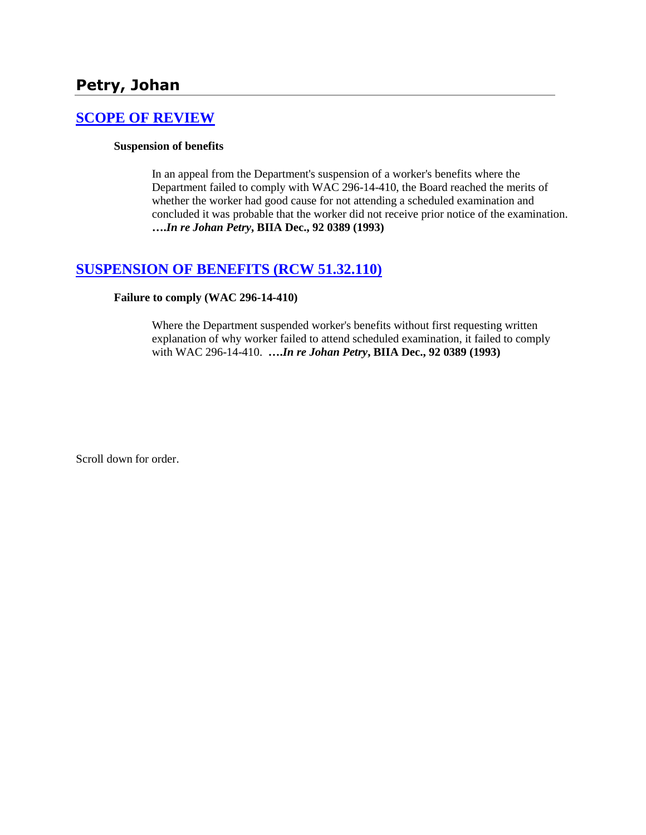# **Petry, Johan**

## **[SCOPE OF REVIEW](http://www.biia.wa.gov/SDSubjectIndex.html#SCOPE_OF_REVIEW)**

### **Suspension of benefits**

In an appeal from the Department's suspension of a worker's benefits where the Department failed to comply with WAC 296-14-410, the Board reached the merits of whether the worker had good cause for not attending a scheduled examination and concluded it was probable that the worker did not receive prior notice of the examination. **….***In re Johan Petry***, BIIA Dec., 92 0389 (1993)** 

## **[SUSPENSION OF BENEFITS \(RCW 51.32.110\)](http://www.biia.wa.gov/SDSubjectIndex.html#SUSPENSION_OF_BENEFITS)**

### **Failure to comply (WAC 296-14-410)**

Where the Department suspended worker's benefits without first requesting written explanation of why worker failed to attend scheduled examination, it failed to comply with WAC 296-14-410. **….***In re Johan Petry***, BIIA Dec., 92 0389 (1993)**

Scroll down for order.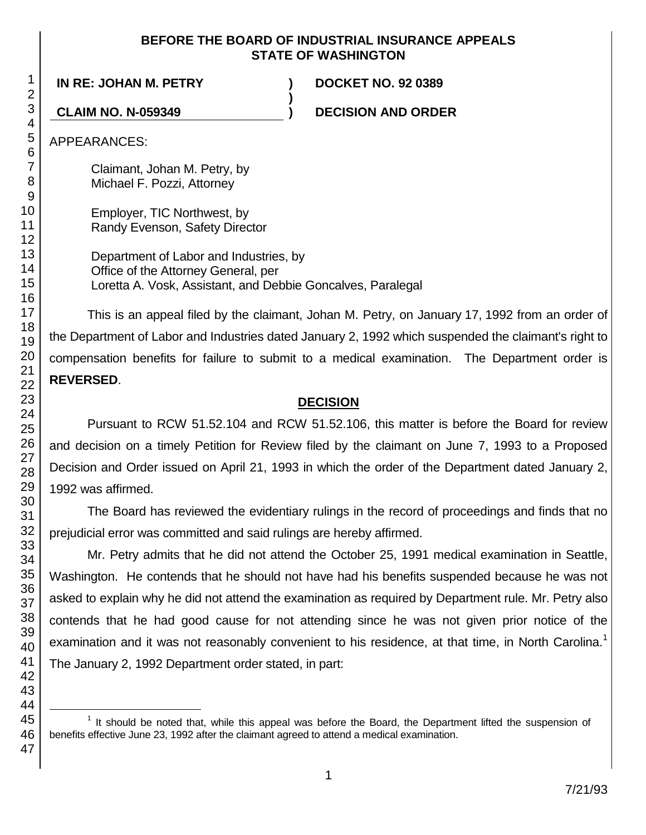### **BEFORE THE BOARD OF INDUSTRIAL INSURANCE APPEALS STATE OF WASHINGTON**

**)**

**IN RE: JOHAN M. PETRY ) DOCKET NO. 92 0389**

**CLAIM NO. N-059349 ) DECISION AND ORDER**

APPEARANCES:

Claimant, Johan M. Petry, by Michael F. Pozzi, Attorney

Employer, TIC Northwest, by Randy Evenson, Safety Director

Department of Labor and Industries, by Office of the Attorney General, per Loretta A. Vosk, Assistant, and Debbie Goncalves, Paralegal

This is an appeal filed by the claimant, Johan M. Petry, on January 17, 1992 from an order of the Department of Labor and Industries dated January 2, 1992 which suspended the claimant's right to compensation benefits for failure to submit to a medical examination. The Department order is **REVERSED**.

# **DECISION**

Pursuant to RCW 51.52.104 and RCW 51.52.106, this matter is before the Board for review and decision on a timely Petition for Review filed by the claimant on June 7, 1993 to a Proposed Decision and Order issued on April 21, 1993 in which the order of the Department dated January 2, 1992 was affirmed.

The Board has reviewed the evidentiary rulings in the record of proceedings and finds that no prejudicial error was committed and said rulings are hereby affirmed.

Mr. Petry admits that he did not attend the October 25, 1991 medical examination in Seattle, Washington. He contends that he should not have had his benefits suspended because he was not asked to explain why he did not attend the examination as required by Department rule. Mr. Petry also contends that he had good cause for not attending since he was not given prior notice of the examination and it was not reasonably convenient to his residence, at that time, in North Carolina.<sup>1</sup> The January 2, 1992 Department order stated, in part:

l  $1$  It should be noted that, while this appeal was before the Board, the Department lifted the suspension of benefits effective June 23, 1992 after the claimant agreed to attend a medical examination.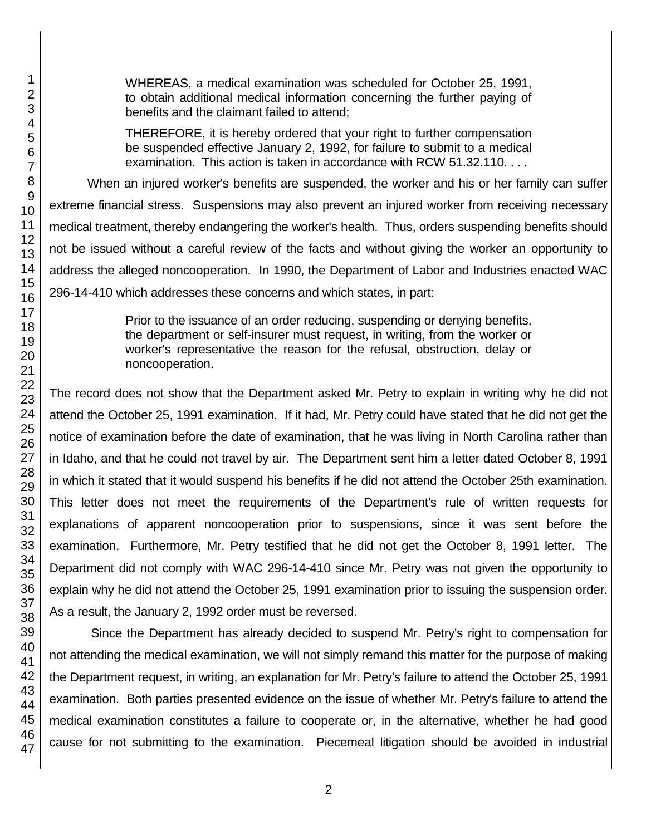WHEREAS, a medical examination was scheduled for October 25, 1991, to obtain additional medical information concerning the further paying of benefits and the claimant failed to attend;

THEREFORE, it is hereby ordered that your right to further compensation be suspended effective January 2, 1992, for failure to submit to a medical examination. This action is taken in accordance with RCW 51.32.110. . . .

When an injured worker's benefits are suspended, the worker and his or her family can suffer extreme financial stress. Suspensions may also prevent an injured worker from receiving necessary medical treatment, thereby endangering the worker's health. Thus, orders suspending benefits should not be issued without a careful review of the facts and without giving the worker an opportunity to address the alleged noncooperation. In 1990, the Department of Labor and Industries enacted WAC 296-14-410 which addresses these concerns and which states, in part:

> Prior to the issuance of an order reducing, suspending or denying benefits, the department or self-insurer must request, in writing, from the worker or worker's representative the reason for the refusal, obstruction, delay or noncooperation.

The record does not show that the Department asked Mr. Petry to explain in writing why he did not attend the October 25, 1991 examination. If it had, Mr. Petry could have stated that he did not get the notice of examination before the date of examination, that he was living in North Carolina rather than in Idaho, and that he could not travel by air. The Department sent him a letter dated October 8, 1991 in which it stated that it would suspend his benefits if he did not attend the October 25th examination. This letter does not meet the requirements of the Department's rule of written requests for explanations of apparent noncooperation prior to suspensions, since it was sent before the examination. Furthermore, Mr. Petry testified that he did not get the October 8, 1991 letter. The Department did not comply with WAC 296-14-410 since Mr. Petry was not given the opportunity to explain why he did not attend the October 25, 1991 examination prior to issuing the suspension order. As a result, the January 2, 1992 order must be reversed.

Since the Department has already decided to suspend Mr. Petry's right to compensation for not attending the medical examination, we will not simply remand this matter for the purpose of making the Department request, in writing, an explanation for Mr. Petry's failure to attend the October 25, 1991 examination. Both parties presented evidence on the issue of whether Mr. Petry's failure to attend the medical examination constitutes a failure to cooperate or, in the alternative, whether he had good cause for not submitting to the examination. Piecemeal litigation should be avoided in industrial

2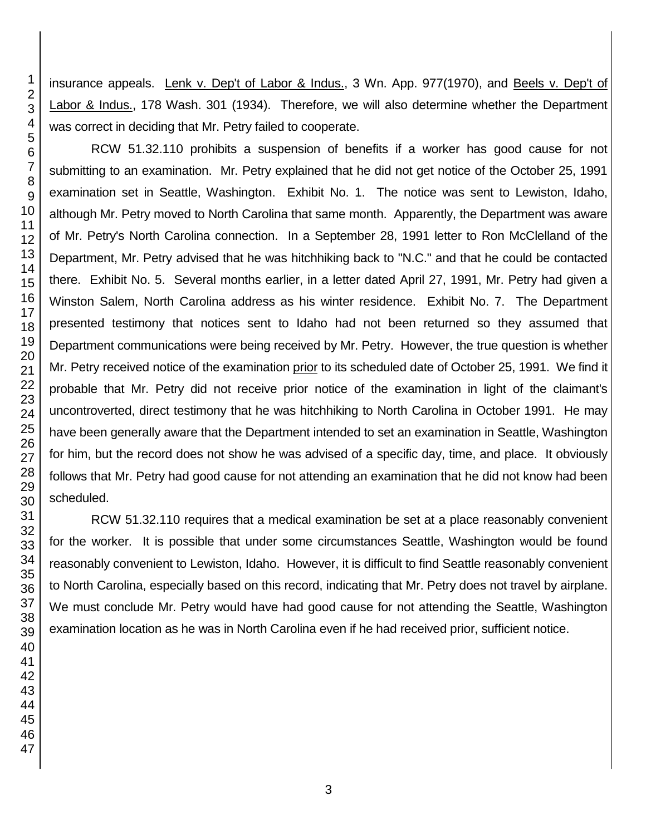insurance appeals. Lenk v. Dep't of Labor & Indus., 3 Wn. App. 977(1970), and Beels v. Dep't of Labor & Indus., 178 Wash. 301 (1934). Therefore, we will also determine whether the Department was correct in deciding that Mr. Petry failed to cooperate.

RCW 51.32.110 prohibits a suspension of benefits if a worker has good cause for not submitting to an examination. Mr. Petry explained that he did not get notice of the October 25, 1991 examination set in Seattle, Washington. Exhibit No. 1. The notice was sent to Lewiston, Idaho, although Mr. Petry moved to North Carolina that same month. Apparently, the Department was aware of Mr. Petry's North Carolina connection. In a September 28, 1991 letter to Ron McClelland of the Department, Mr. Petry advised that he was hitchhiking back to "N.C." and that he could be contacted there. Exhibit No. 5. Several months earlier, in a letter dated April 27, 1991, Mr. Petry had given a Winston Salem, North Carolina address as his winter residence. Exhibit No. 7. The Department presented testimony that notices sent to Idaho had not been returned so they assumed that Department communications were being received by Mr. Petry. However, the true question is whether Mr. Petry received notice of the examination prior to its scheduled date of October 25, 1991. We find it probable that Mr. Petry did not receive prior notice of the examination in light of the claimant's uncontroverted, direct testimony that he was hitchhiking to North Carolina in October 1991. He may have been generally aware that the Department intended to set an examination in Seattle, Washington for him, but the record does not show he was advised of a specific day, time, and place. It obviously follows that Mr. Petry had good cause for not attending an examination that he did not know had been scheduled.

RCW 51.32.110 requires that a medical examination be set at a place reasonably convenient for the worker. It is possible that under some circumstances Seattle, Washington would be found reasonably convenient to Lewiston, Idaho. However, it is difficult to find Seattle reasonably convenient to North Carolina, especially based on this record, indicating that Mr. Petry does not travel by airplane. We must conclude Mr. Petry would have had good cause for not attending the Seattle, Washington examination location as he was in North Carolina even if he had received prior, sufficient notice.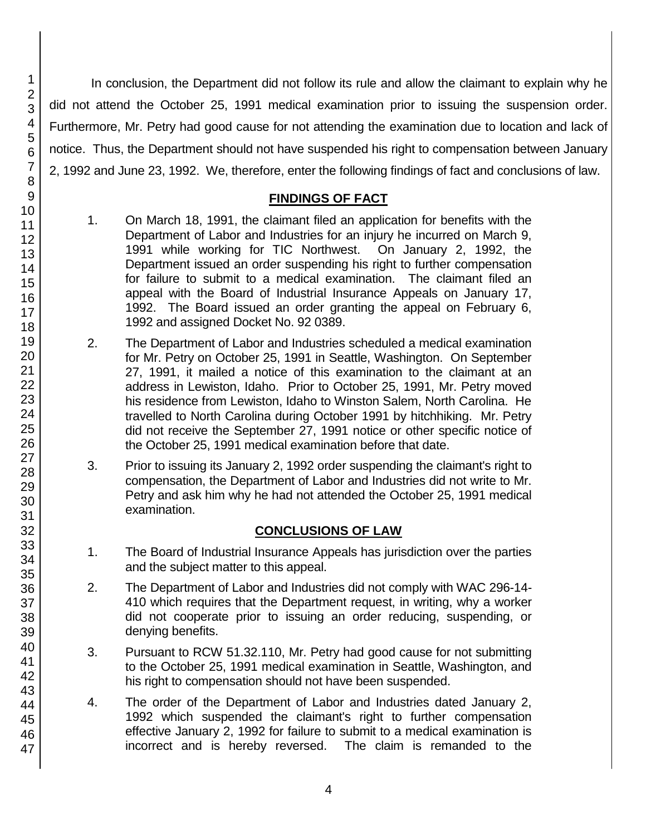In conclusion, the Department did not follow its rule and allow the claimant to explain why he did not attend the October 25, 1991 medical examination prior to issuing the suspension order. Furthermore, Mr. Petry had good cause for not attending the examination due to location and lack of notice. Thus, the Department should not have suspended his right to compensation between January 2, 1992 and June 23, 1992. We, therefore, enter the following findings of fact and conclusions of law.

# **FINDINGS OF FACT**

- 1. On March 18, 1991, the claimant filed an application for benefits with the Department of Labor and Industries for an injury he incurred on March 9, 1991 while working for TIC Northwest. On January 2, 1992, the Department issued an order suspending his right to further compensation for failure to submit to a medical examination. The claimant filed an appeal with the Board of Industrial Insurance Appeals on January 17, 1992. The Board issued an order granting the appeal on February 6, 1992 and assigned Docket No. 92 0389.
- 2. The Department of Labor and Industries scheduled a medical examination for Mr. Petry on October 25, 1991 in Seattle, Washington. On September 27, 1991, it mailed a notice of this examination to the claimant at an address in Lewiston, Idaho. Prior to October 25, 1991, Mr. Petry moved his residence from Lewiston, Idaho to Winston Salem, North Carolina. He travelled to North Carolina during October 1991 by hitchhiking. Mr. Petry did not receive the September 27, 1991 notice or other specific notice of the October 25, 1991 medical examination before that date.
- 3. Prior to issuing its January 2, 1992 order suspending the claimant's right to compensation, the Department of Labor and Industries did not write to Mr. Petry and ask him why he had not attended the October 25, 1991 medical examination.

## **CONCLUSIONS OF LAW**

- 1. The Board of Industrial Insurance Appeals has jurisdiction over the parties and the subject matter to this appeal.
- 2. The Department of Labor and Industries did not comply with WAC 296-14- 410 which requires that the Department request, in writing, why a worker did not cooperate prior to issuing an order reducing, suspending, or denying benefits.
- 3. Pursuant to RCW 51.32.110, Mr. Petry had good cause for not submitting to the October 25, 1991 medical examination in Seattle, Washington, and his right to compensation should not have been suspended.
- 4. The order of the Department of Labor and Industries dated January 2, 1992 which suspended the claimant's right to further compensation effective January 2, 1992 for failure to submit to a medical examination is incorrect and is hereby reversed. The claim is remanded to the